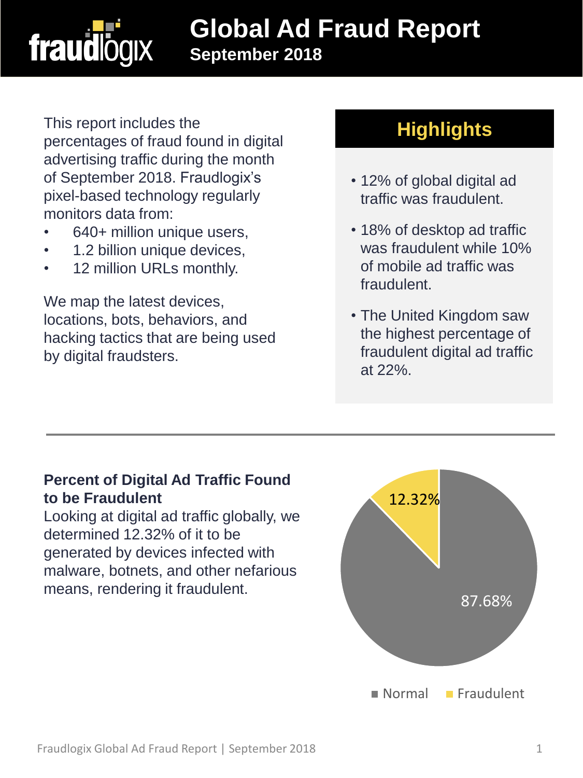

## **Global Ad Fraud Report September 2018**

This report includes the percentages of fraud found in digital advertising traffic during the month of September 2018. Fraudlogix's pixel-based technology regularly monitors data from:

- 640+ million unique users,
- 1.2 billion unique devices,
- 12 million URLs monthly.

We map the latest devices, locations, bots, behaviors, and hacking tactics that are being used by digital fraudsters.

## **Highlights**

- 12% of global digital ad traffic was fraudulent.
- 18% of desktop ad traffic was fraudulent while 10% of mobile ad traffic was fraudulent.
- The United Kingdom saw the highest percentage of fraudulent digital ad traffic at 22%.

### **Percent of Digital Ad Traffic Found to be Fraudulent**

Looking at digital ad traffic globally, we determined 12.32% of it to be generated by devices infected with malware, botnets, and other nefarious means, rendering it fraudulent.

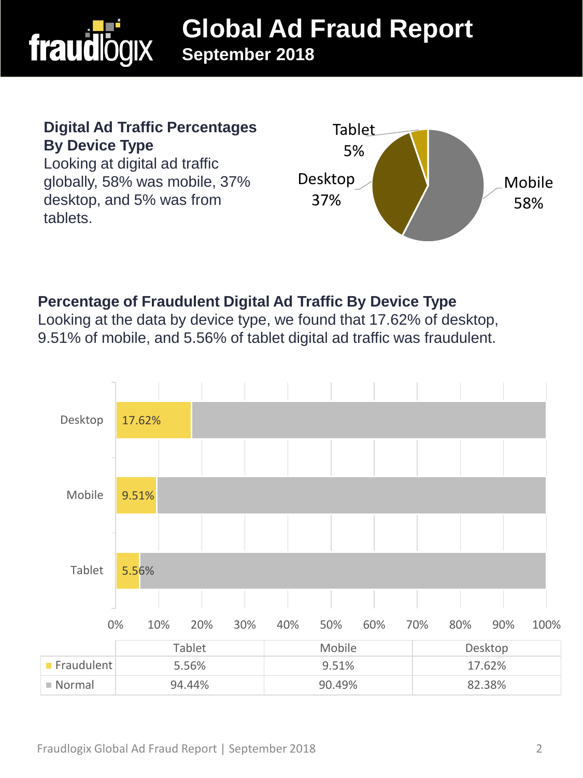

#### **Digital Ad Traffic Percentages By Device Type**

Looking at digital ad traffic globally, 58% was mobile, 37% desktop, and 5% was from tablets.



## **Percentage of Fraudulent Digital Ad Traffic By Device Type**

Looking at the data by device type, we found that 17.62% of desktop, 9.51% of mobile, and 5.56% of tablet digital ad traffic was fraudulent.

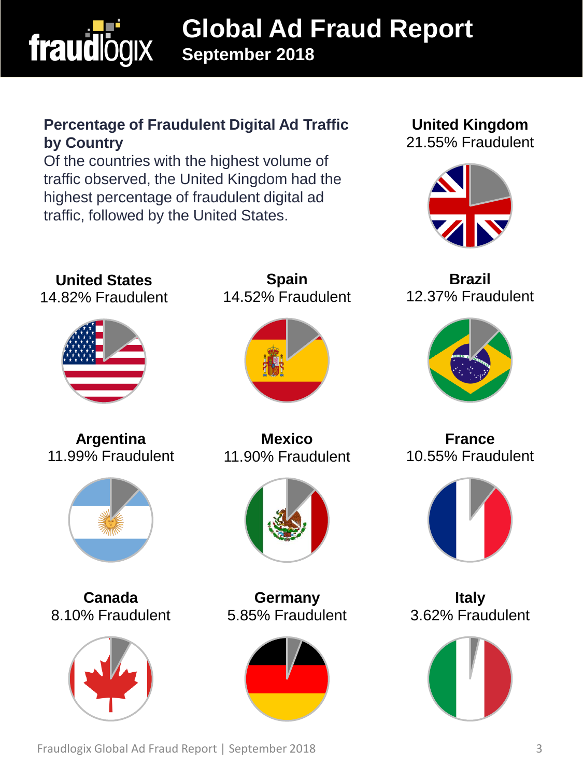

# **Global Ad Fraud Report September 2018**

### **Percentage of Fraudulent Digital Ad Traffic by Country**

Of the countries with the highest volume of traffic observed, the United Kingdom had the highest percentage of fraudulent digital ad traffic, followed by the United States.

#### **United Kingdom** 21.55% Fraudulent



**Brazil** 12.37% Fraudulent



**France** 10.55% Fraudulent



**Italy** 3.62% Fraudulent



**Spain** 14.52% Fraudulent



**Mexico** 11.90% Fraudulent



**Germany** 5.85% Fraudulent



11.99% Fraudulent



**Argentina**

**United States** 14.82% Fraudulent

**Canada** 8.10% Fraudulent